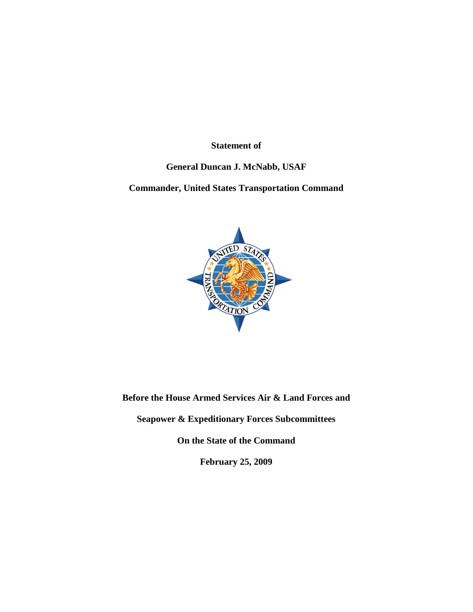**Statement of**

# **General Duncan J. McNabb, USAF**

# **Commander, United States Transportation Command**



**Before the House Armed Services Air & Land Forces and**

**Seapower & Expeditionary Forces Subcommittees**

**On the State of the Command**

**February 25, 2009**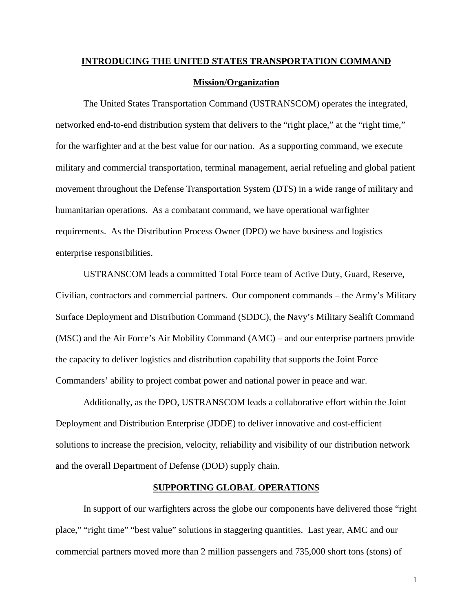# **INTRODUCING THE UNITED STATES TRANSPORTATION COMMAND Mission/Organization**

The United States Transportation Command (USTRANSCOM) operates the integrated, networked end-to-end distribution system that delivers to the "right place," at the "right time," for the warfighter and at the best value for our nation. As a supporting command, we execute military and commercial transportation, terminal management, aerial refueling and global patient movement throughout the Defense Transportation System (DTS) in a wide range of military and humanitarian operations. As a combatant command, we have operational warfighter requirements. As the Distribution Process Owner (DPO) we have business and logistics enterprise responsibilities.

USTRANSCOM leads a committed Total Force team of Active Duty, Guard, Reserve, Civilian, contractors and commercial partners. Our component commands – the Army's Military Surface Deployment and Distribution Command (SDDC), the Navy's Military Sealift Command (MSC) and the Air Force's Air Mobility Command (AMC) – and our enterprise partners provide the capacity to deliver logistics and distribution capability that supports the Joint Force Commanders' ability to project combat power and national power in peace and war.

Additionally, as the DPO, USTRANSCOM leads a collaborative effort within the Joint Deployment and Distribution Enterprise (JDDE) to deliver innovative and cost-efficient solutions to increase the precision, velocity, reliability and visibility of our distribution network and the overall Department of Defense (DOD) supply chain.

# **SUPPORTING GLOBAL OPERATIONS**

In support of our warfighters across the globe our components have delivered those "right place," "right time" "best value" solutions in staggering quantities. Last year, AMC and our commercial partners moved more than 2 million passengers and 735,000 short tons (stons) of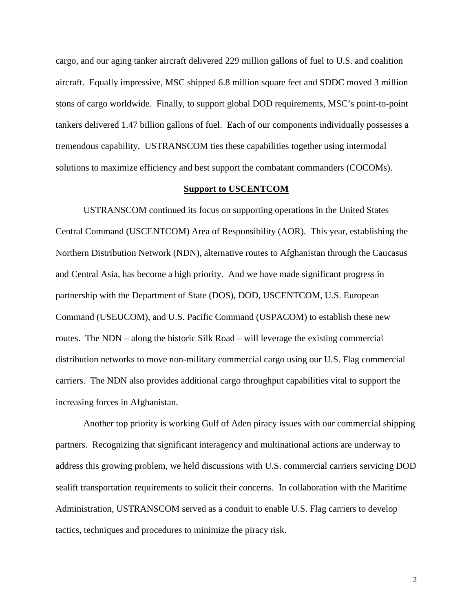cargo, and our aging tanker aircraft delivered 229 million gallons of fuel to U.S. and coalition aircraft. Equally impressive, MSC shipped 6.8 million square feet and SDDC moved 3 million stons of cargo worldwide. Finally, to support global DOD requirements, MSC's point-to-point tankers delivered 1.47 billion gallons of fuel. Each of our components individually possesses a tremendous capability. USTRANSCOM ties these capabilities together using intermodal solutions to maximize efficiency and best support the combatant commanders (COCOMs).

#### **Support to USCENTCOM**

USTRANSCOM continued its focus on supporting operations in the United States Central Command (USCENTCOM) Area of Responsibility (AOR). This year, establishing the Northern Distribution Network (NDN), alternative routes to Afghanistan through the Caucasus and Central Asia, has become a high priority. And we have made significant progress in partnership with the Department of State (DOS), DOD, USCENTCOM, U.S. European Command (USEUCOM), and U.S. Pacific Command (USPACOM) to establish these new routes. The NDN – along the historic Silk Road – will leverage the existing commercial distribution networks to move non-military commercial cargo using our U.S. Flag commercial carriers. The NDN also provides additional cargo throughput capabilities vital to support the increasing forces in Afghanistan.

Another top priority is working Gulf of Aden piracy issues with our commercial shipping partners. Recognizing that significant interagency and multinational actions are underway to address this growing problem, we held discussions with U.S. commercial carriers servicing DOD sealift transportation requirements to solicit their concerns. In collaboration with the Maritime Administration, USTRANSCOM served as a conduit to enable U.S. Flag carriers to develop tactics, techniques and procedures to minimize the piracy risk.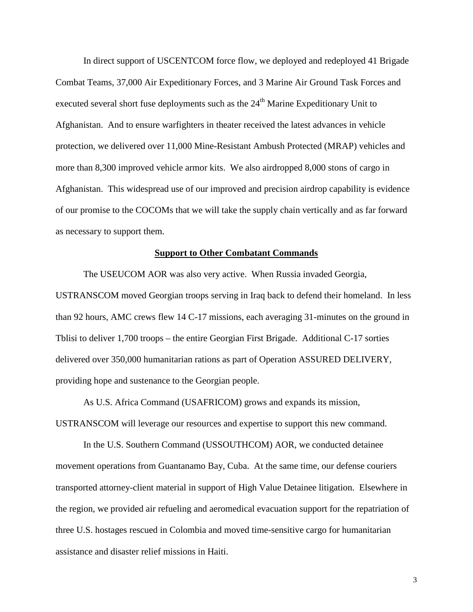In direct support of USCENTCOM force flow, we deployed and redeployed 41 Brigade Combat Teams, 37,000 Air Expeditionary Forces, and 3 Marine Air Ground Task Forces and executed several short fuse deployments such as the  $24<sup>th</sup>$  Marine Expeditionary Unit to Afghanistan. And to ensure warfighters in theater received the latest advances in vehicle protection, we delivered over 11,000 Mine-Resistant Ambush Protected (MRAP) vehicles and more than 8,300 improved vehicle armor kits. We also airdropped 8,000 stons of cargo in Afghanistan. This widespread use of our improved and precision airdrop capability is evidence of our promise to the COCOMs that we will take the supply chain vertically and as far forward as necessary to support them.

# **Support to Other Combatant Commands**

The USEUCOM AOR was also very active. When Russia invaded Georgia, USTRANSCOM moved Georgian troops serving in Iraq back to defend their homeland. In less than 92 hours, AMC crews flew 14 C-17 missions, each averaging 31-minutes on the ground in Tblisi to deliver 1,700 troops – the entire Georgian First Brigade. Additional C-17 sorties delivered over 350,000 humanitarian rations as part of Operation ASSURED DELIVERY, providing hope and sustenance to the Georgian people.

As U.S. Africa Command (USAFRICOM) grows and expands its mission, USTRANSCOM will leverage our resources and expertise to support this new command.

In the U.S. Southern Command (USSOUTHCOM) AOR, we conducted detainee movement operations from Guantanamo Bay, Cuba. At the same time, our defense couriers transported attorney-client material in support of High Value Detainee litigation. Elsewhere in the region, we provided air refueling and aeromedical evacuation support for the repatriation of three U.S. hostages rescued in Colombia and moved time-sensitive cargo for humanitarian assistance and disaster relief missions in Haiti.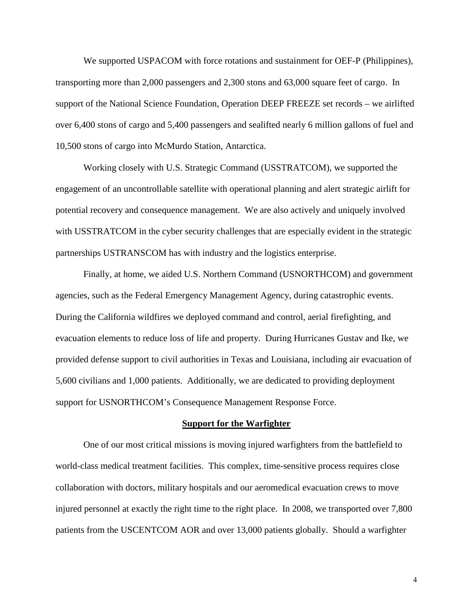We supported USPACOM with force rotations and sustainment for OEF-P (Philippines), transporting more than 2,000 passengers and 2,300 stons and 63,000 square feet of cargo. In support of the National Science Foundation, Operation DEEP FREEZE set records – we airlifted over 6,400 stons of cargo and 5,400 passengers and sealifted nearly 6 million gallons of fuel and 10,500 stons of cargo into McMurdo Station, Antarctica.

Working closely with U.S. Strategic Command (USSTRATCOM), we supported the engagement of an uncontrollable satellite with operational planning and alert strategic airlift for potential recovery and consequence management. We are also actively and uniquely involved with USSTRATCOM in the cyber security challenges that are especially evident in the strategic partnerships USTRANSCOM has with industry and the logistics enterprise.

Finally, at home, we aided U.S. Northern Command (USNORTHCOM) and government agencies, such as the Federal Emergency Management Agency, during catastrophic events. During the California wildfires we deployed command and control, aerial firefighting, and evacuation elements to reduce loss of life and property. During Hurricanes Gustav and Ike, we provided defense support to civil authorities in Texas and Louisiana, including air evacuation of 5,600 civilians and 1,000 patients. Additionally, we are dedicated to providing deployment support for USNORTHCOM's Consequence Management Response Force.

#### **Support for the Warfighter**

One of our most critical missions is moving injured warfighters from the battlefield to world-class medical treatment facilities. This complex, time-sensitive process requires close collaboration with doctors, military hospitals and our aeromedical evacuation crews to move injured personnel at exactly the right time to the right place. In 2008, we transported over 7,800 patients from the USCENTCOM AOR and over 13,000 patients globally. Should a warfighter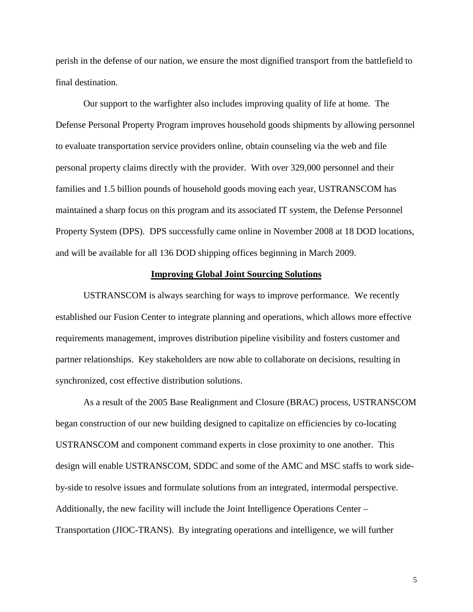perish in the defense of our nation, we ensure the most dignified transport from the battlefield to final destination.

Our support to the warfighter also includes improving quality of life at home. The Defense Personal Property Program improves household goods shipments by allowing personnel to evaluate transportation service providers online, obtain counseling via the web and file personal property claims directly with the provider. With over 329,000 personnel and their families and 1.5 billion pounds of household goods moving each year, USTRANSCOM has maintained a sharp focus on this program and its associated IT system, the Defense Personnel Property System (DPS). DPS successfully came online in November 2008 at 18 DOD locations, and will be available for all 136 DOD shipping offices beginning in March 2009.

# **Improving Global Joint Sourcing Solutions**

USTRANSCOM is always searching for ways to improve performance. We recently established our Fusion Center to integrate planning and operations, which allows more effective requirements management, improves distribution pipeline visibility and fosters customer and partner relationships. Key stakeholders are now able to collaborate on decisions, resulting in synchronized, cost effective distribution solutions.

As a result of the 2005 Base Realignment and Closure (BRAC) process, USTRANSCOM began construction of our new building designed to capitalize on efficiencies by co-locating USTRANSCOM and component command experts in close proximity to one another. This design will enable USTRANSCOM, SDDC and some of the AMC and MSC staffs to work sideby-side to resolve issues and formulate solutions from an integrated, intermodal perspective. Additionally, the new facility will include the Joint Intelligence Operations Center – Transportation (JIOC-TRANS). By integrating operations and intelligence, we will further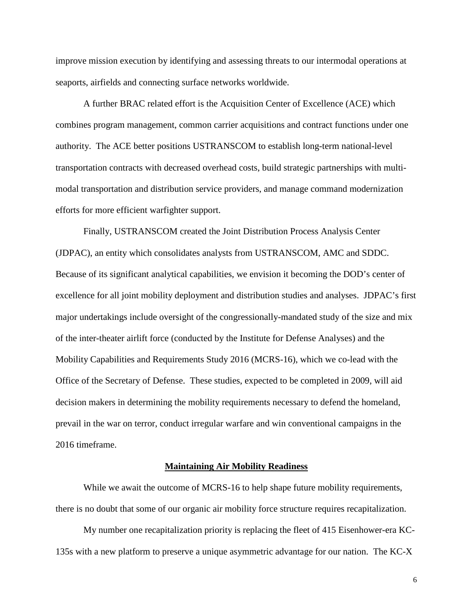improve mission execution by identifying and assessing threats to our intermodal operations at seaports, airfields and connecting surface networks worldwide.

A further BRAC related effort is the Acquisition Center of Excellence (ACE) which combines program management, common carrier acquisitions and contract functions under one authority. The ACE better positions USTRANSCOM to establish long-term national-level transportation contracts with decreased overhead costs, build strategic partnerships with multimodal transportation and distribution service providers, and manage command modernization efforts for more efficient warfighter support.

Finally, USTRANSCOM created the Joint Distribution Process Analysis Center (JDPAC), an entity which consolidates analysts from USTRANSCOM, AMC and SDDC. Because of its significant analytical capabilities, we envision it becoming the DOD's center of excellence for all joint mobility deployment and distribution studies and analyses. JDPAC's first major undertakings include oversight of the congressionally-mandated study of the size and mix of the inter-theater airlift force (conducted by the Institute for Defense Analyses) and the Mobility Capabilities and Requirements Study 2016 (MCRS-16), which we co-lead with the Office of the Secretary of Defense. These studies, expected to be completed in 2009, will aid decision makers in determining the mobility requirements necessary to defend the homeland, prevail in the war on terror, conduct irregular warfare and win conventional campaigns in the 2016 timeframe.

#### **Maintaining Air Mobility Readiness**

While we await the outcome of MCRS-16 to help shape future mobility requirements, there is no doubt that some of our organic air mobility force structure requires recapitalization.

My number one recapitalization priority is replacing the fleet of 415 Eisenhower-era KC-135s with a new platform to preserve a unique asymmetric advantage for our nation. The KC-X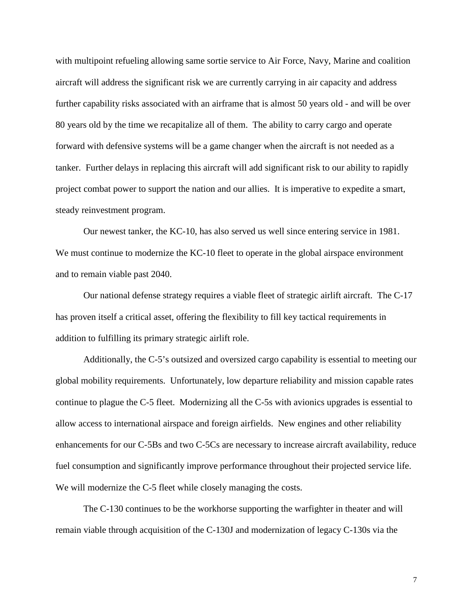with multipoint refueling allowing same sortie service to Air Force, Navy, Marine and coalition aircraft will address the significant risk we are currently carrying in air capacity and address further capability risks associated with an airframe that is almost 50 years old - and will be over 80 years old by the time we recapitalize all of them. The ability to carry cargo and operate forward with defensive systems will be a game changer when the aircraft is not needed as a tanker. Further delays in replacing this aircraft will add significant risk to our ability to rapidly project combat power to support the nation and our allies. It is imperative to expedite a smart, steady reinvestment program.

Our newest tanker, the KC-10, has also served us well since entering service in 1981. We must continue to modernize the KC-10 fleet to operate in the global airspace environment and to remain viable past 2040.

Our national defense strategy requires a viable fleet of strategic airlift aircraft. The C-17 has proven itself a critical asset, offering the flexibility to fill key tactical requirements in addition to fulfilling its primary strategic airlift role.

Additionally, the C-5's outsized and oversized cargo capability is essential to meeting our global mobility requirements. Unfortunately, low departure reliability and mission capable rates continue to plague the C-5 fleet. Modernizing all the C-5s with avionics upgrades is essential to allow access to international airspace and foreign airfields. New engines and other reliability enhancements for our C-5Bs and two C-5Cs are necessary to increase aircraft availability, reduce fuel consumption and significantly improve performance throughout their projected service life. We will modernize the C-5 fleet while closely managing the costs.

The C-130 continues to be the workhorse supporting the warfighter in theater and will remain viable through acquisition of the C-130J and modernization of legacy C-130s via the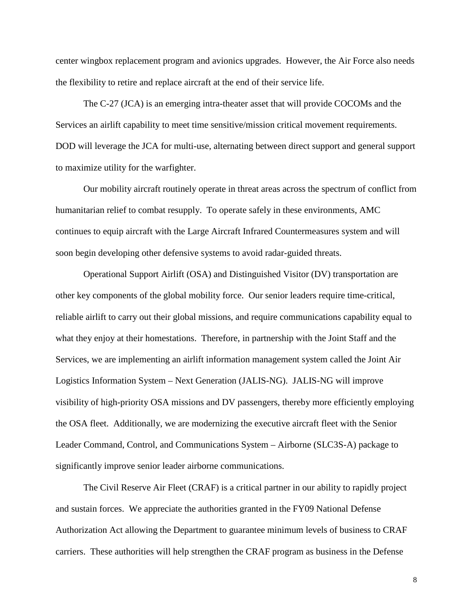center wingbox replacement program and avionics upgrades. However, the Air Force also needs the flexibility to retire and replace aircraft at the end of their service life.

The C-27 (JCA) is an emerging intra-theater asset that will provide COCOMs and the Services an airlift capability to meet time sensitive/mission critical movement requirements. DOD will leverage the JCA for multi-use, alternating between direct support and general support to maximize utility for the warfighter.

Our mobility aircraft routinely operate in threat areas across the spectrum of conflict from humanitarian relief to combat resupply. To operate safely in these environments, AMC continues to equip aircraft with the Large Aircraft Infrared Countermeasures system and will soon begin developing other defensive systems to avoid radar-guided threats.

Operational Support Airlift (OSA) and Distinguished Visitor (DV) transportation are other key components of the global mobility force. Our senior leaders require time-critical, reliable airlift to carry out their global missions, and require communications capability equal to what they enjoy at their homestations. Therefore, in partnership with the Joint Staff and the Services, we are implementing an airlift information management system called the Joint Air Logistics Information System – Next Generation (JALIS-NG). JALIS-NG will improve visibility of high-priority OSA missions and DV passengers, thereby more efficiently employing the OSA fleet. Additionally, we are modernizing the executive aircraft fleet with the Senior Leader Command, Control, and Communications System – Airborne (SLC3S-A) package to significantly improve senior leader airborne communications.

The Civil Reserve Air Fleet (CRAF) is a critical partner in our ability to rapidly project and sustain forces. We appreciate the authorities granted in the FY09 National Defense Authorization Act allowing the Department to guarantee minimum levels of business to CRAF carriers. These authorities will help strengthen the CRAF program as business in the Defense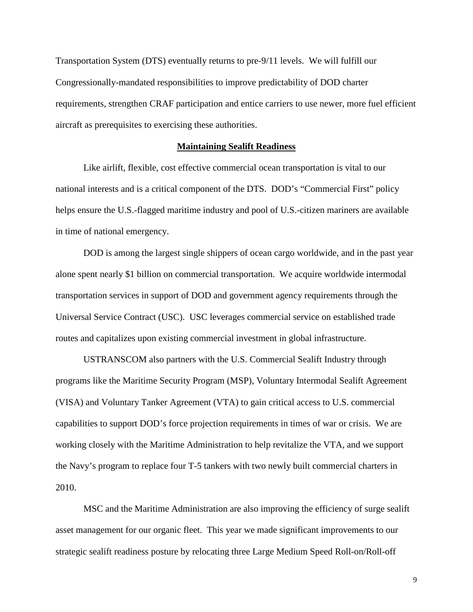Transportation System (DTS) eventually returns to pre-9/11 levels. We will fulfill our Congressionally-mandated responsibilities to improve predictability of DOD charter requirements, strengthen CRAF participation and entice carriers to use newer, more fuel efficient aircraft as prerequisites to exercising these authorities.

# **Maintaining Sealift Readiness**

Like airlift, flexible, cost effective commercial ocean transportation is vital to our national interests and is a critical component of the DTS. DOD's "Commercial First" policy helps ensure the U.S.-flagged maritime industry and pool of U.S.-citizen mariners are available in time of national emergency.

DOD is among the largest single shippers of ocean cargo worldwide, and in the past year alone spent nearly \$1 billion on commercial transportation. We acquire worldwide intermodal transportation services in support of DOD and government agency requirements through the Universal Service Contract (USC). USC leverages commercial service on established trade routes and capitalizes upon existing commercial investment in global infrastructure.

USTRANSCOM also partners with the U.S. Commercial Sealift Industry through programs like the Maritime Security Program (MSP), Voluntary Intermodal Sealift Agreement (VISA) and Voluntary Tanker Agreement (VTA) to gain critical access to U.S. commercial capabilities to support DOD's force projection requirements in times of war or crisis. We are working closely with the Maritime Administration to help revitalize the VTA, and we support the Navy's program to replace four T-5 tankers with two newly built commercial charters in 2010.

MSC and the Maritime Administration are also improving the efficiency of surge sealift asset management for our organic fleet. This year we made significant improvements to our strategic sealift readiness posture by relocating three Large Medium Speed Roll-on/Roll-off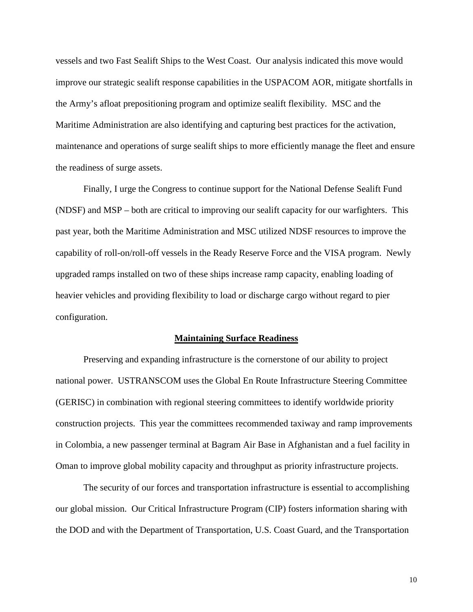vessels and two Fast Sealift Ships to the West Coast. Our analysis indicated this move would improve our strategic sealift response capabilities in the USPACOM AOR, mitigate shortfalls in the Army's afloat prepositioning program and optimize sealift flexibility. MSC and the Maritime Administration are also identifying and capturing best practices for the activation, maintenance and operations of surge sealift ships to more efficiently manage the fleet and ensure the readiness of surge assets.

Finally, I urge the Congress to continue support for the National Defense Sealift Fund (NDSF) and MSP – both are critical to improving our sealift capacity for our warfighters. This past year, both the Maritime Administration and MSC utilized NDSF resources to improve the capability of roll-on/roll-off vessels in the Ready Reserve Force and the VISA program. Newly upgraded ramps installed on two of these ships increase ramp capacity, enabling loading of heavier vehicles and providing flexibility to load or discharge cargo without regard to pier configuration.

#### **Maintaining Surface Readiness**

Preserving and expanding infrastructure is the cornerstone of our ability to project national power. USTRANSCOM uses the Global En Route Infrastructure Steering Committee (GERISC) in combination with regional steering committees to identify worldwide priority construction projects. This year the committees recommended taxiway and ramp improvements in Colombia, a new passenger terminal at Bagram Air Base in Afghanistan and a fuel facility in Oman to improve global mobility capacity and throughput as priority infrastructure projects.

The security of our forces and transportation infrastructure is essential to accomplishing our global mission. Our Critical Infrastructure Program (CIP) fosters information sharing with the DOD and with the Department of Transportation, U.S. Coast Guard, and the Transportation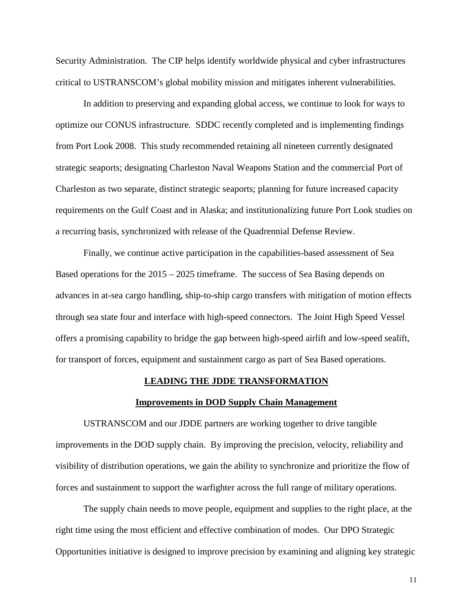Security Administration. The CIP helps identify worldwide physical and cyber infrastructures critical to USTRANSCOM's global mobility mission and mitigates inherent vulnerabilities.

In addition to preserving and expanding global access, we continue to look for ways to optimize our CONUS infrastructure. SDDC recently completed and is implementing findings from Port Look 2008. This study recommended retaining all nineteen currently designated strategic seaports; designating Charleston Naval Weapons Station and the commercial Port of Charleston as two separate, distinct strategic seaports; planning for future increased capacity requirements on the Gulf Coast and in Alaska; and institutionalizing future Port Look studies on a recurring basis, synchronized with release of the Quadrennial Defense Review.

Finally, we continue active participation in the capabilities-based assessment of Sea Based operations for the 2015 – 2025 timeframe. The success of Sea Basing depends on advances in at-sea cargo handling, ship-to-ship cargo transfers with mitigation of motion effects through sea state four and interface with high-speed connectors. The Joint High Speed Vessel offers a promising capability to bridge the gap between high-speed airlift and low-speed sealift, for transport of forces, equipment and sustainment cargo as part of Sea Based operations.

#### **LEADING THE JDDE TRANSFORMATION**

#### **Improvements in DOD Supply Chain Management**

USTRANSCOM and our JDDE partners are working together to drive tangible improvements in the DOD supply chain. By improving the precision, velocity, reliability and visibility of distribution operations, we gain the ability to synchronize and prioritize the flow of forces and sustainment to support the warfighter across the full range of military operations.

The supply chain needs to move people, equipment and supplies to the right place, at the right time using the most efficient and effective combination of modes. Our DPO Strategic Opportunities initiative is designed to improve precision by examining and aligning key strategic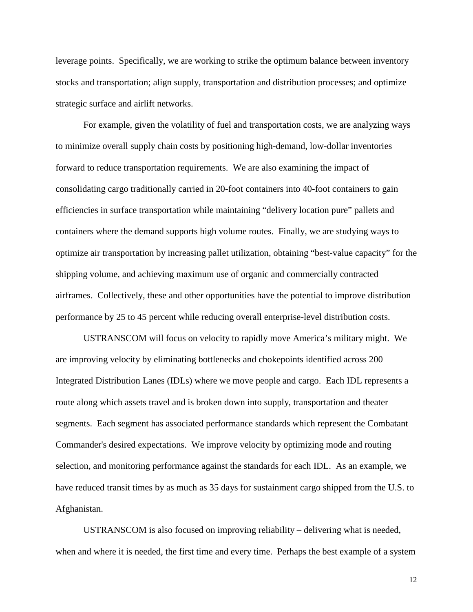leverage points. Specifically, we are working to strike the optimum balance between inventory stocks and transportation; align supply, transportation and distribution processes; and optimize strategic surface and airlift networks.

For example, given the volatility of fuel and transportation costs, we are analyzing ways to minimize overall supply chain costs by positioning high-demand, low-dollar inventories forward to reduce transportation requirements. We are also examining the impact of consolidating cargo traditionally carried in 20-foot containers into 40-foot containers to gain efficiencies in surface transportation while maintaining "delivery location pure" pallets and containers where the demand supports high volume routes. Finally, we are studying ways to optimize air transportation by increasing pallet utilization, obtaining "best-value capacity" for the shipping volume, and achieving maximum use of organic and commercially contracted airframes. Collectively, these and other opportunities have the potential to improve distribution performance by 25 to 45 percent while reducing overall enterprise-level distribution costs.

USTRANSCOM will focus on velocity to rapidly move America's military might. We are improving velocity by eliminating bottlenecks and chokepoints identified across 200 Integrated Distribution Lanes (IDLs) where we move people and cargo. Each IDL represents a route along which assets travel and is broken down into supply, transportation and theater segments. Each segment has associated performance standards which represent the Combatant Commander's desired expectations. We improve velocity by optimizing mode and routing selection, and monitoring performance against the standards for each IDL. As an example, we have reduced transit times by as much as 35 days for sustainment cargo shipped from the U.S. to Afghanistan.

USTRANSCOM is also focused on improving reliability – delivering what is needed, when and where it is needed, the first time and every time. Perhaps the best example of a system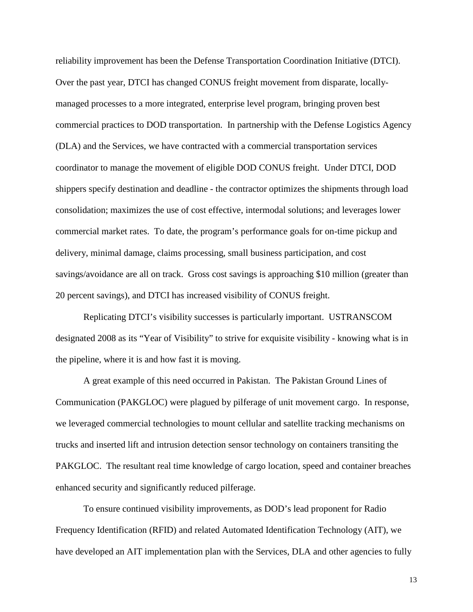reliability improvement has been the Defense Transportation Coordination Initiative (DTCI). Over the past year, DTCI has changed CONUS freight movement from disparate, locallymanaged processes to a more integrated, enterprise level program, bringing proven best commercial practices to DOD transportation. In partnership with the Defense Logistics Agency (DLA) and the Services, we have contracted with a commercial transportation services coordinator to manage the movement of eligible DOD CONUS freight. Under DTCI, DOD shippers specify destination and deadline - the contractor optimizes the shipments through load consolidation; maximizes the use of cost effective, intermodal solutions; and leverages lower commercial market rates. To date, the program's performance goals for on-time pickup and delivery, minimal damage, claims processing, small business participation, and cost savings/avoidance are all on track. Gross cost savings is approaching \$10 million (greater than 20 percent savings), and DTCI has increased visibility of CONUS freight.

Replicating DTCI's visibility successes is particularly important. USTRANSCOM designated 2008 as its "Year of Visibility" to strive for exquisite visibility - knowing what is in the pipeline, where it is and how fast it is moving.

A great example of this need occurred in Pakistan. The Pakistan Ground Lines of Communication (PAKGLOC) were plagued by pilferage of unit movement cargo. In response, we leveraged commercial technologies to mount cellular and satellite tracking mechanisms on trucks and inserted lift and intrusion detection sensor technology on containers transiting the PAKGLOC. The resultant real time knowledge of cargo location, speed and container breaches enhanced security and significantly reduced pilferage.

To ensure continued visibility improvements, as DOD's lead proponent for Radio Frequency Identification (RFID) and related Automated Identification Technology (AIT), we have developed an AIT implementation plan with the Services, DLA and other agencies to fully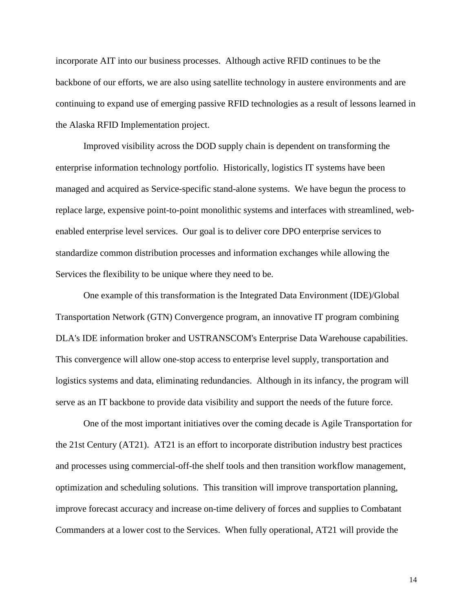incorporate AIT into our business processes. Although active RFID continues to be the backbone of our efforts, we are also using satellite technology in austere environments and are continuing to expand use of emerging passive RFID technologies as a result of lessons learned in the Alaska RFID Implementation project.

Improved visibility across the DOD supply chain is dependent on transforming the enterprise information technology portfolio. Historically, logistics IT systems have been managed and acquired as Service-specific stand-alone systems. We have begun the process to replace large, expensive point-to-point monolithic systems and interfaces with streamlined, webenabled enterprise level services. Our goal is to deliver core DPO enterprise services to standardize common distribution processes and information exchanges while allowing the Services the flexibility to be unique where they need to be.

One example of this transformation is the Integrated Data Environment (IDE)/Global Transportation Network (GTN) Convergence program, an innovative IT program combining DLA's IDE information broker and USTRANSCOM's Enterprise Data Warehouse capabilities. This convergence will allow one-stop access to enterprise level supply, transportation and logistics systems and data, eliminating redundancies. Although in its infancy, the program will serve as an IT backbone to provide data visibility and support the needs of the future force.

One of the most important initiatives over the coming decade is Agile Transportation for the 21st Century (AT21). AT21 is an effort to incorporate distribution industry best practices and processes using commercial-off-the shelf tools and then transition workflow management, optimization and scheduling solutions. This transition will improve transportation planning, improve forecast accuracy and increase on-time delivery of forces and supplies to Combatant Commanders at a lower cost to the Services. When fully operational, AT21 will provide the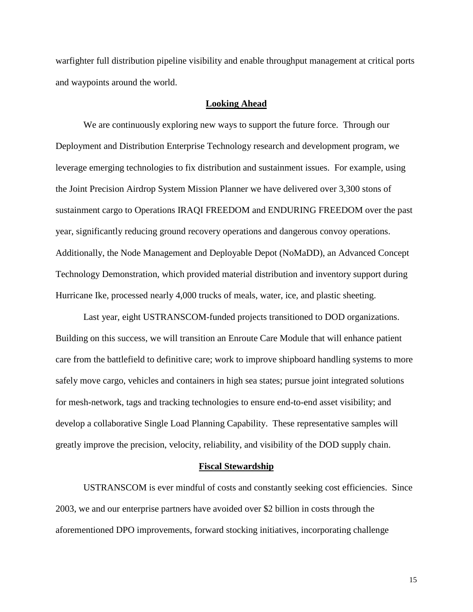warfighter full distribution pipeline visibility and enable throughput management at critical ports and waypoints around the world.

# **Looking Ahead**

We are continuously exploring new ways to support the future force. Through our Deployment and Distribution Enterprise Technology research and development program, we leverage emerging technologies to fix distribution and sustainment issues. For example, using the Joint Precision Airdrop System Mission Planner we have delivered over 3,300 stons of sustainment cargo to Operations IRAQI FREEDOM and ENDURING FREEDOM over the past year, significantly reducing ground recovery operations and dangerous convoy operations. Additionally, the Node Management and Deployable Depot (NoMaDD), an Advanced Concept Technology Demonstration, which provided material distribution and inventory support during Hurricane Ike, processed nearly 4,000 trucks of meals, water, ice, and plastic sheeting.

Last year, eight USTRANSCOM-funded projects transitioned to DOD organizations. Building on this success, we will transition an Enroute Care Module that will enhance patient care from the battlefield to definitive care; work to improve shipboard handling systems to more safely move cargo, vehicles and containers in high sea states; pursue joint integrated solutions for mesh-network, tags and tracking technologies to ensure end-to-end asset visibility; and develop a collaborative Single Load Planning Capability. These representative samples will greatly improve the precision, velocity, reliability, and visibility of the DOD supply chain.

# **Fiscal Stewardship**

USTRANSCOM is ever mindful of costs and constantly seeking cost efficiencies. Since 2003, we and our enterprise partners have avoided over \$2 billion in costs through the aforementioned DPO improvements, forward stocking initiatives, incorporating challenge